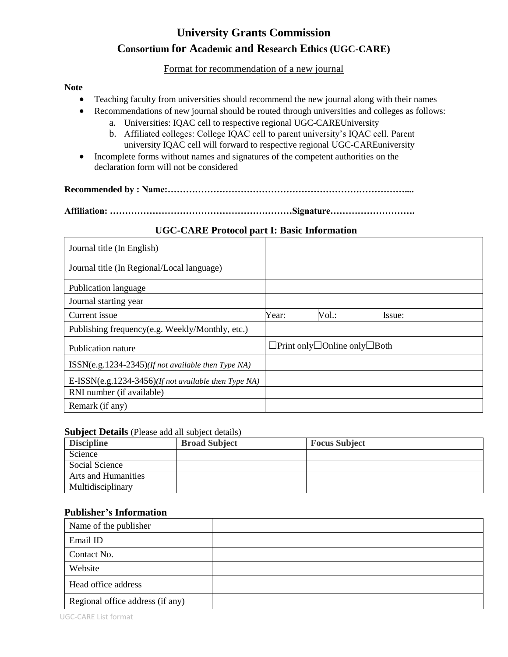# **University Grants Commission Consortium for Academic and Research Ethics (UGC-CARE)**

### Format for recommendation of a new journal

#### **Note**

- Teaching faculty from universities should recommend the new journal along with their names
- Recommendations of new journal should be routed through universities and colleges as follows:
	- a. Universities: IQAC cell to respective regional UGC-CAREUniversity
	- b. Affiliated colleges: College IQAC cell to parent university's IQAC cell. Parent university IQAC cell will forward to respective regional UGC-CAREuniversity
- Incomplete forms without names and signatures of the competent authorities on the declaration form will not be considered

**Recommended by : Name:……………………………………………………………………....**

**Affiliation: ……………………………………………………Signature……………………….** 

### **UGC-CARE Protocol part I: Basic Information**

| Journal title (In English)                           |       |                                                  |        |
|------------------------------------------------------|-------|--------------------------------------------------|--------|
| Journal title (In Regional/Local language)           |       |                                                  |        |
| Publication language                                 |       |                                                  |        |
| Journal starting year                                |       |                                                  |        |
| Current issue                                        | Year: | Vol.:                                            | Issue: |
| Publishing frequency(e.g. Weekly/Monthly, etc.)      |       |                                                  |        |
| Publication nature                                   |       | $\Box$ Print only $\Box$ Online only $\Box$ Both |        |
| ISSN(e.g.1234-2345)(If not available then Type NA)   |       |                                                  |        |
| E-ISSN(e.g.1234-3456)(If not available then Type NA) |       |                                                  |        |
| RNI number (if available)                            |       |                                                  |        |
| Remark (if any)                                      |       |                                                  |        |

#### **Subject Details** (Please add all subject details)

| <b>Discipline</b>          | <b>Broad Subject</b> | <b>Focus Subject</b> |
|----------------------------|----------------------|----------------------|
| Science                    |                      |                      |
| Social Science             |                      |                      |
| <b>Arts and Humanities</b> |                      |                      |
| Multidisciplinary          |                      |                      |

# **Publisher's Information**

| Name of the publisher            |  |
|----------------------------------|--|
| Email ID                         |  |
| Contact No.                      |  |
| Website                          |  |
| Head office address              |  |
| Regional office address (if any) |  |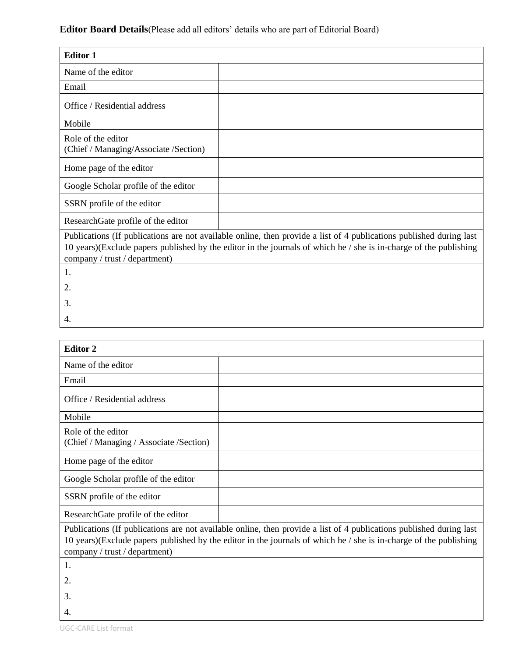**Editor Board Details**(Please add all editors' details who are part of Editorial Board)

| <b>Editor 1</b>                                                |                                                                                                                                                                                                                                          |
|----------------------------------------------------------------|------------------------------------------------------------------------------------------------------------------------------------------------------------------------------------------------------------------------------------------|
| Name of the editor                                             |                                                                                                                                                                                                                                          |
| Email                                                          |                                                                                                                                                                                                                                          |
| Office / Residential address                                   |                                                                                                                                                                                                                                          |
| Mobile                                                         |                                                                                                                                                                                                                                          |
| Role of the editor<br>(Chief / Managing/Associate /Section)    |                                                                                                                                                                                                                                          |
| Home page of the editor                                        |                                                                                                                                                                                                                                          |
| Google Scholar profile of the editor                           |                                                                                                                                                                                                                                          |
| SSRN profile of the editor                                     |                                                                                                                                                                                                                                          |
| ResearchGate profile of the editor                             |                                                                                                                                                                                                                                          |
| company / trust / department)                                  | Publications (If publications are not available online, then provide a list of 4 publications published during last<br>10 years)(Exclude papers published by the editor in the journals of which he / she is in-charge of the publishing |
| 1.                                                             |                                                                                                                                                                                                                                          |
| 2.                                                             |                                                                                                                                                                                                                                          |
| 3.                                                             |                                                                                                                                                                                                                                          |
| 4.                                                             |                                                                                                                                                                                                                                          |
|                                                                |                                                                                                                                                                                                                                          |
|                                                                |                                                                                                                                                                                                                                          |
| <b>Editor 2</b>                                                |                                                                                                                                                                                                                                          |
| Name of the editor                                             |                                                                                                                                                                                                                                          |
| Email                                                          |                                                                                                                                                                                                                                          |
| Office / Residential address                                   |                                                                                                                                                                                                                                          |
| Mobile                                                         |                                                                                                                                                                                                                                          |
| Role of the editor<br>(Chief / Managing / Associate / Section) |                                                                                                                                                                                                                                          |
| Home page of the editor                                        |                                                                                                                                                                                                                                          |
| Google Scholar profile of the editor                           |                                                                                                                                                                                                                                          |
| SSRN profile of the editor                                     |                                                                                                                                                                                                                                          |
| ResearchGate profile of the editor                             |                                                                                                                                                                                                                                          |
| company / trust / department)                                  | Publications (If publications are not available online, then provide a list of 4 publications published during last<br>10 years)(Exclude papers published by the editor in the journals of which he / she is in-charge of the publishing |
| 1.                                                             |                                                                                                                                                                                                                                          |
| 2.                                                             |                                                                                                                                                                                                                                          |
| 3.                                                             |                                                                                                                                                                                                                                          |